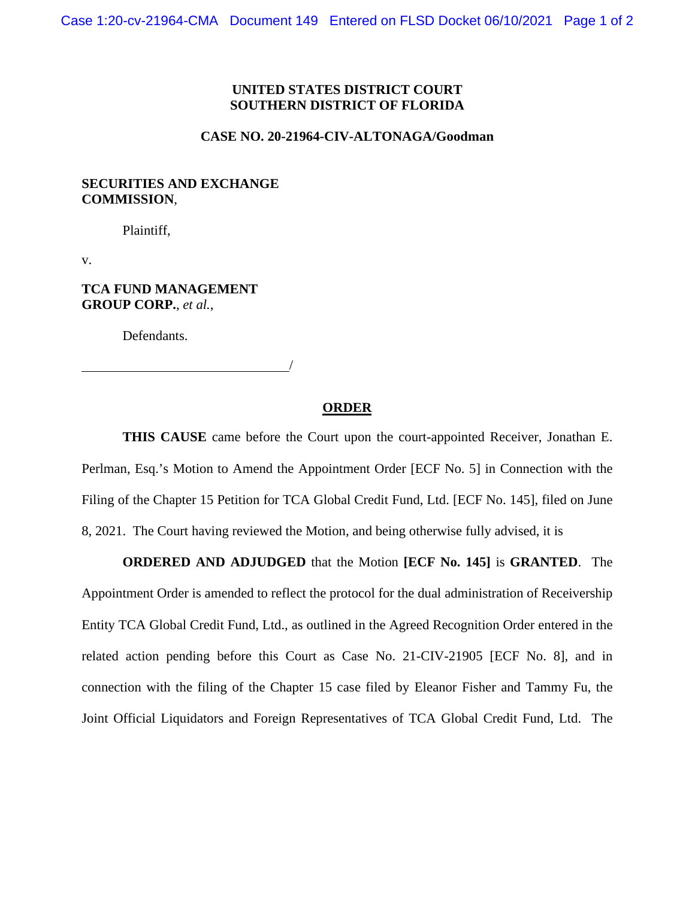## **UNITED STATES DISTRICT COURT SOUTHERN DISTRICT OF FLORIDA**

#### **CASE NO. 20-21964-CIV-ALTONAGA/Goodman**

## **SECURITIES AND EXCHANGE COMMISSION**,

Plaintiff,

v.

# **TCA FUND MANAGEMENT GROUP CORP.**, *et al.*,

Defendants.

### **ORDER**

/

**THIS CAUSE** came before the Court upon the court-appointed Receiver, Jonathan E. Perlman, Esq.'s Motion to Amend the Appointment Order [ECF No. 5] in Connection with the Filing of the Chapter 15 Petition for TCA Global Credit Fund, Ltd. [ECF No. 145], filed on June 8, 2021. The Court having reviewed the Motion, and being otherwise fully advised, it is

**ORDERED AND ADJUDGED** that the Motion **[ECF No. 145]** is **GRANTED**. The Appointment Order is amended to reflect the protocol for the dual administration of Receivership Entity TCA Global Credit Fund, Ltd., as outlined in the Agreed Recognition Order entered in the related action pending before this Court as Case No. 21-CIV-21905 [ECF No. 8], and in connection with the filing of the Chapter 15 case filed by Eleanor Fisher and Tammy Fu, the Joint Official Liquidators and Foreign Representatives of TCA Global Credit Fund, Ltd. The